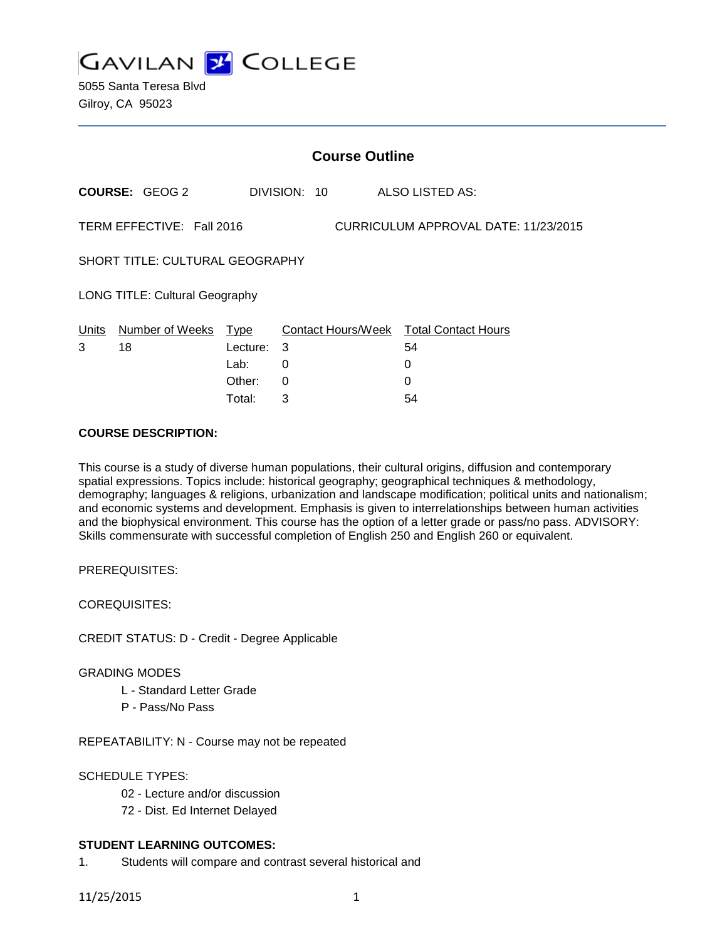

5055 Santa Teresa Blvd Gilroy, CA 95023

|                                        |                           |          |   | <b>Course Outline</b> |  |                                        |  |  |
|----------------------------------------|---------------------------|----------|---|-----------------------|--|----------------------------------------|--|--|
|                                        | <b>COURSE: GEOG 2</b>     |          |   | DIVISION: 10          |  | ALSO LISTED AS:                        |  |  |
|                                        | TERM EFFECTIVE: Fall 2016 |          |   |                       |  | CURRICULUM APPROVAL DATE: 11/23/2015   |  |  |
| <b>SHORT TITLE: CULTURAL GEOGRAPHY</b> |                           |          |   |                       |  |                                        |  |  |
| <b>LONG TITLE: Cultural Geography</b>  |                           |          |   |                       |  |                                        |  |  |
| Units                                  | Number of Weeks           | Type     |   |                       |  | Contact Hours/Week Total Contact Hours |  |  |
| 3                                      | 18                        | Lecture: | 3 |                       |  | 54                                     |  |  |
|                                        |                           | Lab:     | 0 |                       |  | 0                                      |  |  |
|                                        |                           | Other:   | 0 |                       |  | 0                                      |  |  |
|                                        |                           | Total:   | 3 |                       |  | 54                                     |  |  |

## **COURSE DESCRIPTION:**

This course is a study of diverse human populations, their cultural origins, diffusion and contemporary spatial expressions. Topics include: historical geography; geographical techniques & methodology, demography; languages & religions, urbanization and landscape modification; political units and nationalism; and economic systems and development. Emphasis is given to interrelationships between human activities and the biophysical environment. This course has the option of a letter grade or pass/no pass. ADVISORY: Skills commensurate with successful completion of English 250 and English 260 or equivalent.

PREREQUISITES:

COREQUISITES:

CREDIT STATUS: D - Credit - Degree Applicable

#### GRADING MODES

- L Standard Letter Grade
- P Pass/No Pass

REPEATABILITY: N - Course may not be repeated

#### SCHEDULE TYPES:

- 02 Lecture and/or discussion
- 72 Dist. Ed Internet Delayed

#### **STUDENT LEARNING OUTCOMES:**

1. Students will compare and contrast several historical and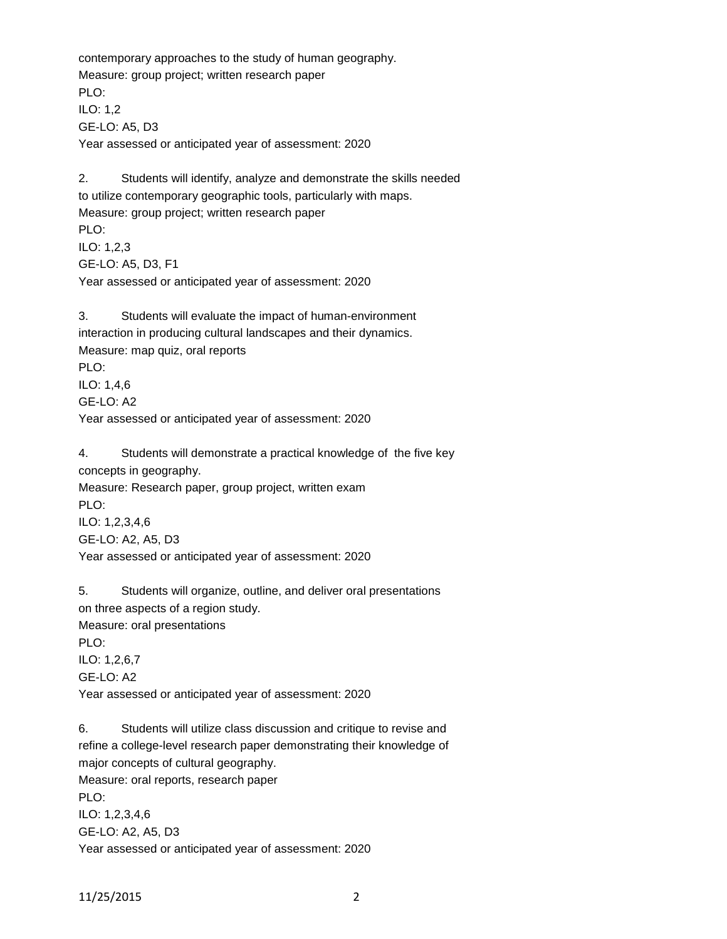contemporary approaches to the study of human geography. Measure: group project; written research paper PLO: ILO: 1,2 GE-LO: A5, D3 Year assessed or anticipated year of assessment: 2020

2. Students will identify, analyze and demonstrate the skills needed to utilize contemporary geographic tools, particularly with maps. Measure: group project; written research paper PLO: ILO: 1,2,3 GE-LO: A5, D3, F1 Year assessed or anticipated year of assessment: 2020

3. Students will evaluate the impact of human-environment interaction in producing cultural landscapes and their dynamics. Measure: map quiz, oral reports PLO: ILO: 1,4,6 GE-LO: A2 Year assessed or anticipated year of assessment: 2020

4. Students will demonstrate a practical knowledge of the five key concepts in geography. Measure: Research paper, group project, written exam PLO: ILO: 1,2,3,4,6 GE-LO: A2, A5, D3

Year assessed or anticipated year of assessment: 2020

5. Students will organize, outline, and deliver oral presentations on three aspects of a region study. Measure: oral presentations PLO: ILO: 1,2,6,7 GE-LO: A2 Year assessed or anticipated year of assessment: 2020

6. Students will utilize class discussion and critique to revise and refine a college-level research paper demonstrating their knowledge of major concepts of cultural geography. Measure: oral reports, research paper PLO: ILO: 1,2,3,4,6 GE-LO: A2, A5, D3 Year assessed or anticipated year of assessment: 2020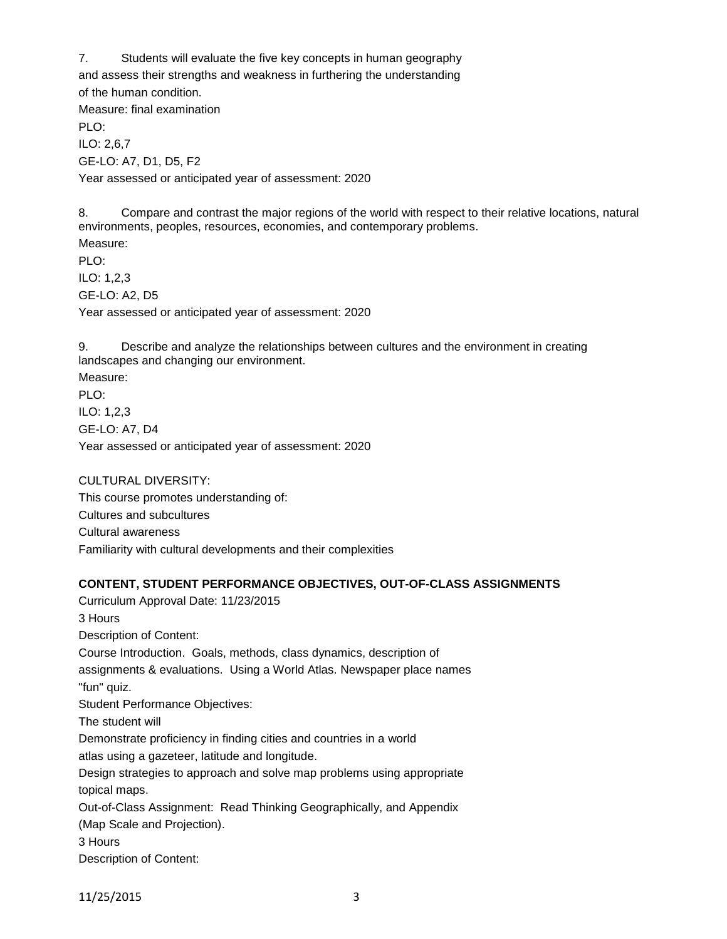7. Students will evaluate the five key concepts in human geography

and assess their strengths and weakness in furthering the understanding

of the human condition.

Measure: final examination

PLO: ILO: 2,6,7 GE-LO: A7, D1, D5, F2 Year assessed or anticipated year of assessment: 2020

8. Compare and contrast the major regions of the world with respect to their relative locations, natural environments, peoples, resources, economies, and contemporary problems.

Measure: PLO: ILO: 1,2,3 GE-LO: A2, D5 Year assessed or anticipated year of assessment: 2020

9. Describe and analyze the relationships between cultures and the environment in creating landscapes and changing our environment.

Measure: PLO: ILO: 1,2,3 GE-LO: A7, D4 Year assessed or anticipated year of assessment: 2020

CULTURAL DIVERSITY: This course promotes understanding of: Cultures and subcultures Cultural awareness Familiarity with cultural developments and their complexities

## **CONTENT, STUDENT PERFORMANCE OBJECTIVES, OUT-OF-CLASS ASSIGNMENTS**

Curriculum Approval Date: 11/23/2015 3 Hours Description of Content: Course Introduction. Goals, methods, class dynamics, description of assignments & evaluations. Using a World Atlas. Newspaper place names "fun" quiz. Student Performance Objectives: The student will Demonstrate proficiency in finding cities and countries in a world atlas using a gazeteer, latitude and longitude. Design strategies to approach and solve map problems using appropriate topical maps. Out-of-Class Assignment: Read Thinking Geographically, and Appendix (Map Scale and Projection). 3 Hours Description of Content:

11/25/2015 3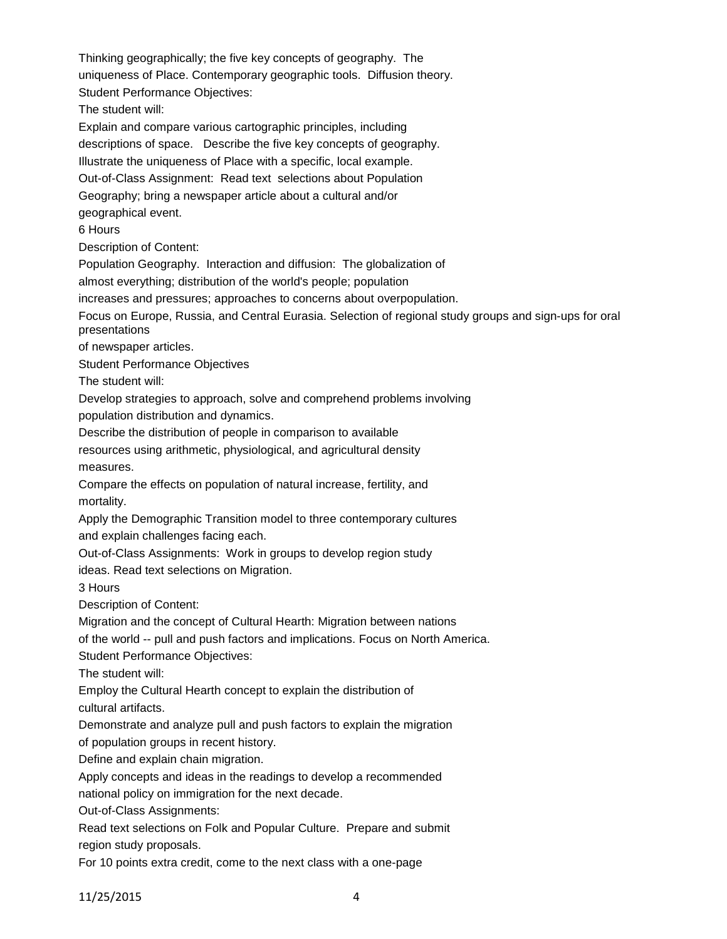Thinking geographically; the five key concepts of geography. The uniqueness of Place. Contemporary geographic tools. Diffusion theory. Student Performance Objectives: The student will: Explain and compare various cartographic principles, including descriptions of space. Describe the five key concepts of geography. Illustrate the uniqueness of Place with a specific, local example. Out-of-Class Assignment: Read text selections about Population Geography; bring a newspaper article about a cultural and/or geographical event. 6 Hours Description of Content: Population Geography. Interaction and diffusion: The globalization of almost everything; distribution of the world's people; population increases and pressures; approaches to concerns about overpopulation. Focus on Europe, Russia, and Central Eurasia. Selection of regional study groups and sign-ups for oral presentations of newspaper articles. Student Performance Objectives The student will: Develop strategies to approach, solve and comprehend problems involving population distribution and dynamics. Describe the distribution of people in comparison to available resources using arithmetic, physiological, and agricultural density measures. Compare the effects on population of natural increase, fertility, and mortality. Apply the Demographic Transition model to three contemporary cultures and explain challenges facing each. Out-of-Class Assignments: Work in groups to develop region study ideas. Read text selections on Migration. 3 Hours Description of Content: Migration and the concept of Cultural Hearth: Migration between nations of the world -- pull and push factors and implications. Focus on North America. Student Performance Objectives: The student will: Employ the Cultural Hearth concept to explain the distribution of cultural artifacts. Demonstrate and analyze pull and push factors to explain the migration of population groups in recent history. Define and explain chain migration. Apply concepts and ideas in the readings to develop a recommended national policy on immigration for the next decade. Out-of-Class Assignments: Read text selections on Folk and Popular Culture. Prepare and submit region study proposals.

For 10 points extra credit, come to the next class with a one-page

11/25/2015 4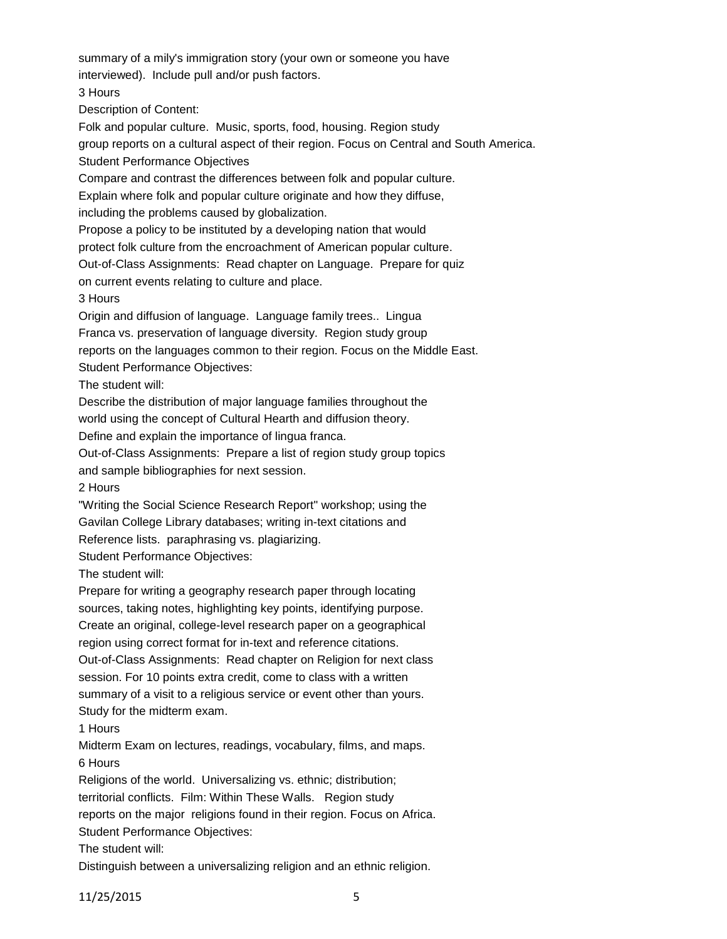summary of a mily's immigration story (your own or someone you have interviewed). Include pull and/or push factors. 3 Hours Description of Content: Folk and popular culture. Music, sports, food, housing. Region study group reports on a cultural aspect of their region. Focus on Central and South America. Student Performance Objectives Compare and contrast the differences between folk and popular culture. Explain where folk and popular culture originate and how they diffuse, including the problems caused by globalization. Propose a policy to be instituted by a developing nation that would protect folk culture from the encroachment of American popular culture. Out-of-Class Assignments: Read chapter on Language. Prepare for quiz on current events relating to culture and place. 3 Hours Origin and diffusion of language. Language family trees.. Lingua Franca vs. preservation of language diversity. Region study group reports on the languages common to their region. Focus on the Middle East. Student Performance Objectives: The student will: Describe the distribution of major language families throughout the world using the concept of Cultural Hearth and diffusion theory. Define and explain the importance of lingua franca. Out-of-Class Assignments: Prepare a list of region study group topics and sample bibliographies for next session. 2 Hours "Writing the Social Science Research Report" workshop; using the Gavilan College Library databases; writing in-text citations and Reference lists. paraphrasing vs. plagiarizing. Student Performance Objectives: The student will: Prepare for writing a geography research paper through locating sources, taking notes, highlighting key points, identifying purpose. Create an original, college-level research paper on a geographical region using correct format for in-text and reference citations. Out-of-Class Assignments: Read chapter on Religion for next class session. For 10 points extra credit, come to class with a written summary of a visit to a religious service or event other than yours. Study for the midterm exam. 1 Hours Midterm Exam on lectures, readings, vocabulary, films, and maps. 6 Hours Religions of the world. Universalizing vs. ethnic; distribution; territorial conflicts. Film: Within These Walls. Region study reports on the major religions found in their region. Focus on Africa. Student Performance Objectives: The student will:

Distinguish between a universalizing religion and an ethnic religion.

11/25/2015 5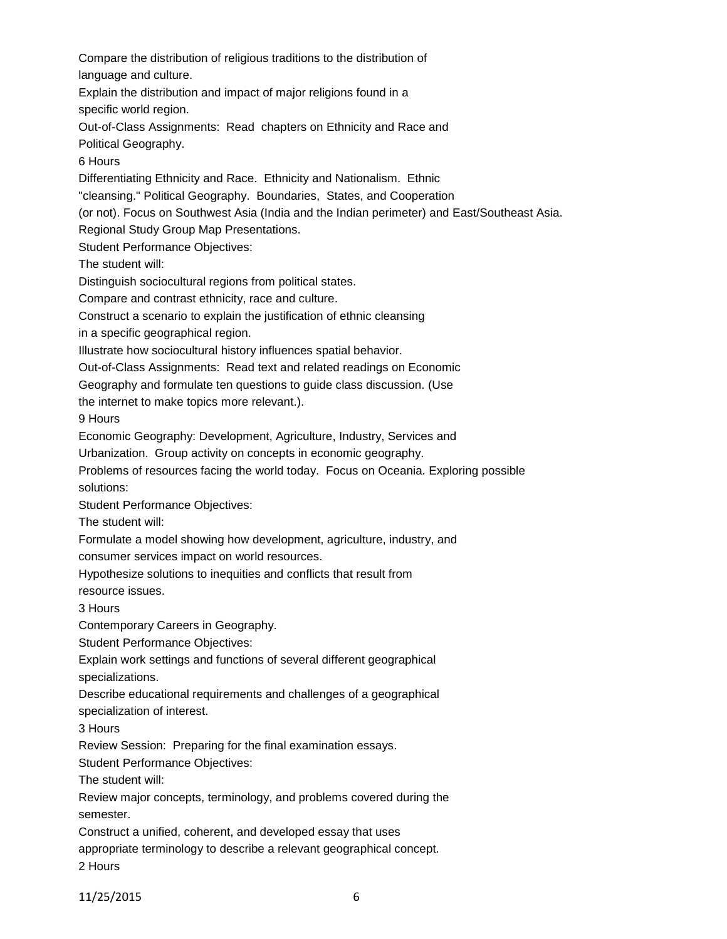Compare the distribution of religious traditions to the distribution of language and culture. Explain the distribution and impact of major religions found in a specific world region. Out-of-Class Assignments: Read chapters on Ethnicity and Race and Political Geography. 6 Hours Differentiating Ethnicity and Race. Ethnicity and Nationalism. Ethnic "cleansing." Political Geography. Boundaries, States, and Cooperation (or not). Focus on Southwest Asia (India and the Indian perimeter) and East/Southeast Asia. Regional Study Group Map Presentations. Student Performance Objectives: The student will: Distinguish sociocultural regions from political states. Compare and contrast ethnicity, race and culture. Construct a scenario to explain the justification of ethnic cleansing in a specific geographical region. Illustrate how sociocultural history influences spatial behavior. Out-of-Class Assignments: Read text and related readings on Economic Geography and formulate ten questions to guide class discussion. (Use the internet to make topics more relevant.). 9 Hours Economic Geography: Development, Agriculture, Industry, Services and Urbanization. Group activity on concepts in economic geography. Problems of resources facing the world today. Focus on Oceania. Exploring possible solutions: Student Performance Objectives: The student will: Formulate a model showing how development, agriculture, industry, and consumer services impact on world resources. Hypothesize solutions to inequities and conflicts that result from resource issues. 3 Hours Contemporary Careers in Geography. Student Performance Objectives: Explain work settings and functions of several different geographical specializations. Describe educational requirements and challenges of a geographical specialization of interest. 3 Hours Review Session: Preparing for the final examination essays. Student Performance Objectives: The student will: Review major concepts, terminology, and problems covered during the semester. Construct a unified, coherent, and developed essay that uses appropriate terminology to describe a relevant geographical concept. 2 Hours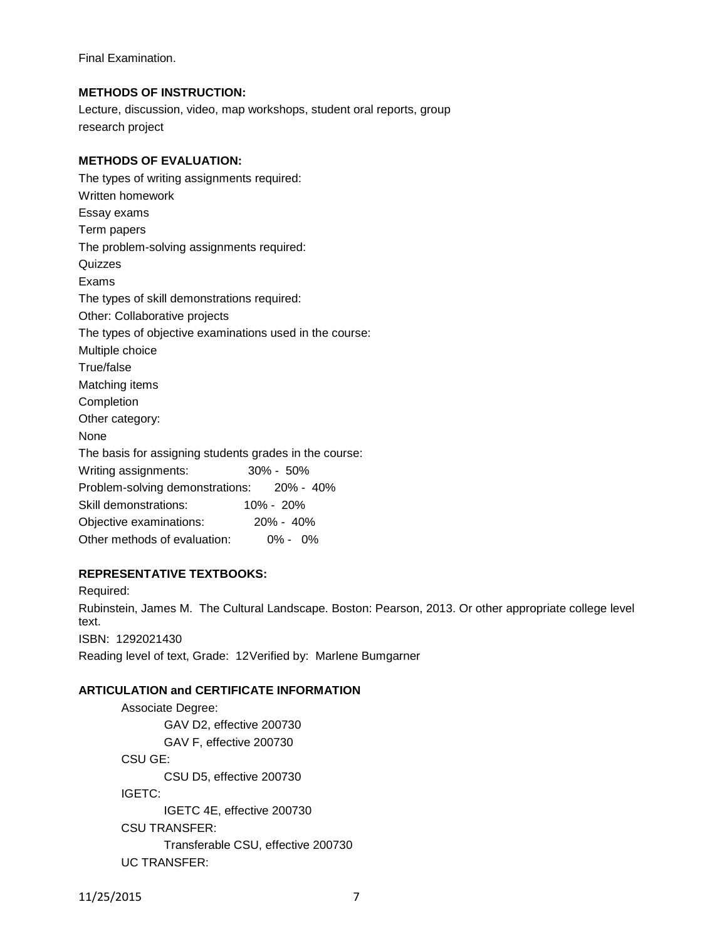Final Examination.

## **METHODS OF INSTRUCTION:**

Lecture, discussion, video, map workshops, student oral reports, group research project

## **METHODS OF EVALUATION:**

| The types of writing assignments required:              |               |
|---------------------------------------------------------|---------------|
| Written homework                                        |               |
| Essay exams                                             |               |
| Term papers                                             |               |
| The problem-solving assignments required:               |               |
| Quizzes                                                 |               |
| Exams                                                   |               |
| The types of skill demonstrations required:             |               |
| Other: Collaborative projects                           |               |
| The types of objective examinations used in the course: |               |
| Multiple choice                                         |               |
| True/false                                              |               |
| Matching items                                          |               |
| Completion                                              |               |
| Other category:                                         |               |
| None                                                    |               |
| The basis for assigning students grades in the course:  |               |
| Writing assignments:                                    | $30\% - 50\%$ |
| Problem-solving demonstrations: 20% - 40%               |               |
| Skill demonstrations:                                   | 10% - 20%     |
| Objective examinations:                                 | 20% - 40%     |
| Other methods of evaluation:                            | 0% - 0%       |

#### **REPRESENTATIVE TEXTBOOKS:**

Required: Rubinstein, James M. The Cultural Landscape. Boston: Pearson, 2013. Or other appropriate college level text. ISBN: 1292021430 Reading level of text, Grade: 12Verified by: Marlene Bumgarner

# **ARTICULATION and CERTIFICATE INFORMATION**

Associate Degree: GAV D2, effective 200730 GAV F, effective 200730 CSU GE: CSU D5, effective 200730 IGETC: IGETC 4E, effective 200730 CSU TRANSFER: Transferable CSU, effective 200730 UC TRANSFER: